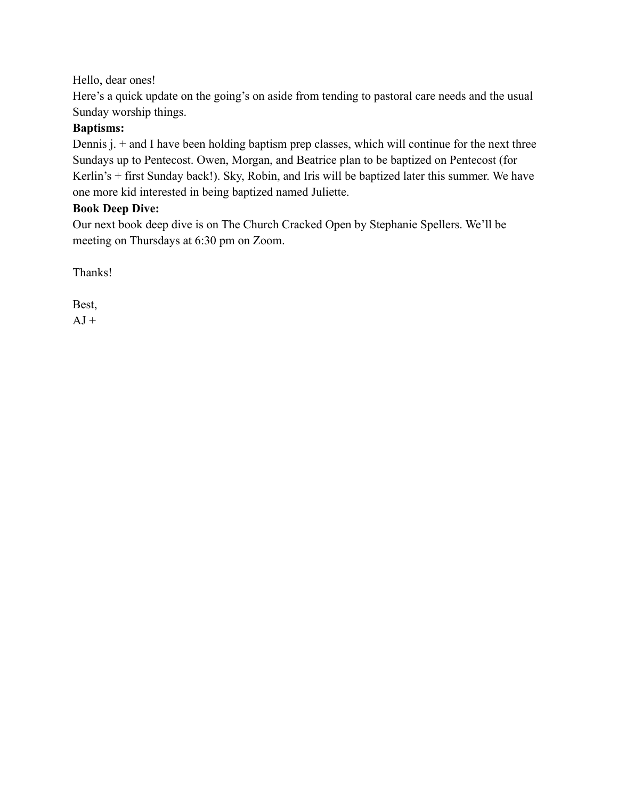### Hello, dear ones!

Here's a quick update on the going's on aside from tending to pastoral care needs and the usual Sunday worship things.

### **Baptisms:**

Dennis j. + and I have been holding baptism prep classes, which will continue for the next three Sundays up to Pentecost. Owen, Morgan, and Beatrice plan to be baptized on Pentecost (for Kerlin's + first Sunday back!). Sky, Robin, and Iris will be baptized later this summer. We have one more kid interested in being baptized named Juliette.

#### **Book Deep Dive:**

Our next book deep dive is on The Church Cracked Open by Stephanie Spellers. We'll be meeting on Thursdays at 6:30 pm on Zoom.

Thanks!

Best,

 $AJ +$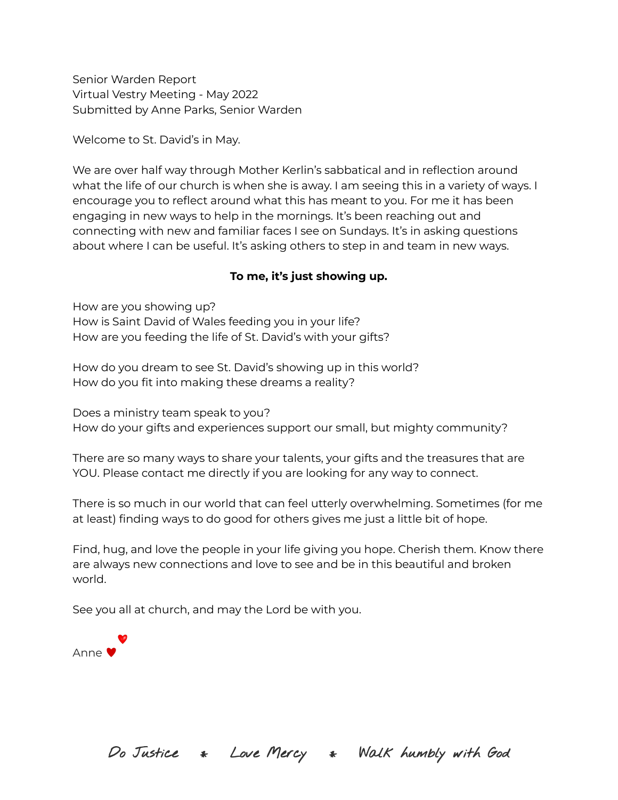Senior Warden Report Virtual Vestry Meeting - May 2022 Submitted by Anne Parks, Senior Warden

Welcome to St. David's in May.

We are over half way through Mother Kerlin's sabbatical and in reflection around what the life of our church is when she is away. I am seeing this in a variety of ways. I encourage you to reflect around what this has meant to you. For me it has been engaging in new ways to help in the mornings. It's been reaching out and connecting with new and familiar faces I see on Sundays. It's in asking questions about where I can be useful. It's asking others to step in and team in new ways.

### **To me, it's just showing up.**

How are you showing up? How is Saint David of Wales feeding you in your life? How are you feeding the life of St. David's with your gifts?

How do you dream to see St. David's showing up in this world? How do you fit into making these dreams a reality?

Does a ministry team speak to you? How do your gifts and experiences support our small, but mighty community?

There are so many ways to share your talents, your gifts and the treasures that are YOU. Please contact me directly if you are looking for any way to connect.

There is so much in our world that can feel utterly overwhelming. Sometimes (for me at least) finding ways to do good for others gives me just a little bit of hope.

Find, hug, and love the people in your life giving you hope. Cherish them. Know there are always new connections and love to see and be in this beautiful and broken world.

See you all at church, and may the Lord be with you.



Do Justice \* Love Mercy \* Walk humbly with God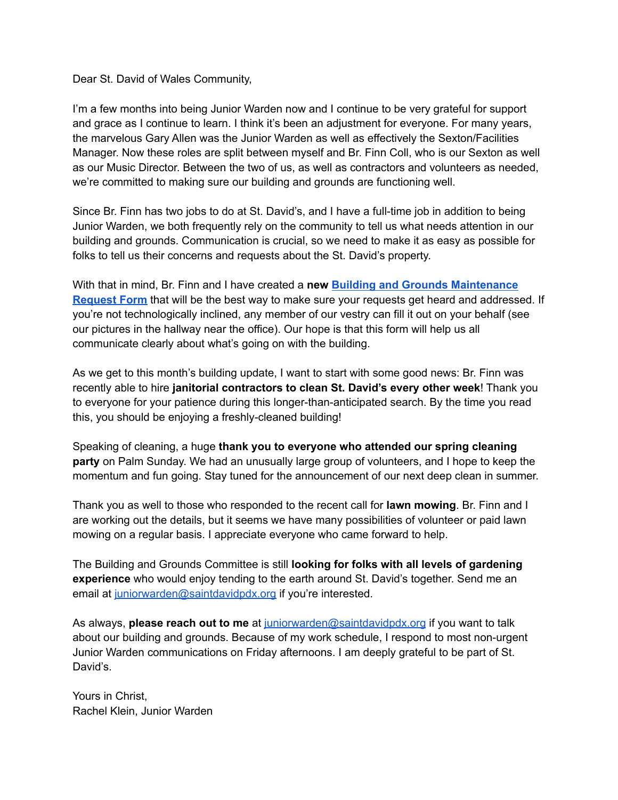Dear St. David of Wales Community,

I'm a few months into being Junior Warden now and I continue to be very grateful for support and grace as I continue to learn. I think it's been an adjustment for everyone. For many years, the marvelous Gary Allen was the Junior Warden as well as effectively the Sexton/Facilities Manager. Now these roles are split between myself and Br. Finn Coll, who is our Sexton as well as our Music Director. Between the two of us, as well as contractors and volunteers as needed, we're committed to making sure our building and grounds are functioning well.

Since Br. Finn has two jobs to do at St. David's, and I have a full-time job in addition to being Junior Warden, we both frequently rely on the community to tell us what needs attention in our building and grounds. Communication is crucial, so we need to make it as easy as possible for folks to tell us their concerns and requests about the St. David's property.

With that in mind, Br. Finn and I have created a **new Building and Grounds Maintenance Request Form** that will be the best way to make sure your requests get heard and addressed. If you're not technologically inclined, any member of our vestry can fill it out on your behalf (see our pictures in the hallway near the office). Our hope is that this form will help us all communicate clearly about what's going on with the building.

As we get to this month's building update, I want to start with some good news: Br. Finn was recently able to hire **janitorial contractors to clean St. David's every other week**! Thank you to everyone for your patience during this longer-than-anticipated search. By the time you read this, you should be enjoying a freshly-cleaned building!

Speaking of cleaning, a huge **thank you to everyone who attended our spring cleaning party** on Palm Sunday. We had an unusually large group of volunteers, and I hope to keep the momentum and fun going. Stay tuned for the announcement of our next deep clean in summer.

Thank you as well to those who responded to the recent call for **lawn mowing**. Br. Finn and I are working out the details, but it seems we have many possibilities of volunteer or paid lawn mowing on a regular basis. I appreciate everyone who came forward to help.

The Building and Grounds Committee is still **looking for folks with all levels of gardening experience** who would enjoy tending to the earth around St. David's together. Send me an email at juniorwarden@saintdavidpdx.org if you're interested.

As always, **please reach out to me** at juniorwarden@saintdavidpdx.org if you want to talk about our building and grounds. Because of my work schedule, I respond to most non-urgent Junior Warden communications on Friday afternoons. I am deeply grateful to be part of St. David's.

Yours in Christ, Rachel Klein, Junior Warden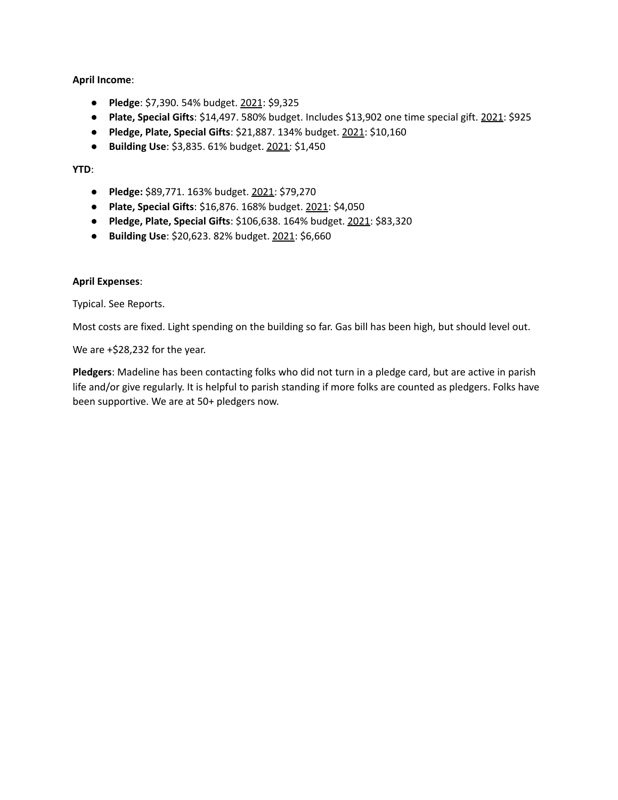#### **April Income**:

- **Pledge**: \$7,390. 54% budget. 2021: \$9,325
- **Plate, Special Gifts**: \$14,497. 580% budget. Includes \$13,902 one time special gift. 2021: \$925
- **Pledge, Plate, Special Gifts**: \$21,887. 134% budget. 2021: \$10,160
- **Building Use**: \$3,835. 61% budget. 2021: \$1,450

#### **YTD**:

- **Pledge:** \$89,771. 163% budget. 2021: \$79,270
- **Plate, Special Gifts**: \$16,876. 168% budget. 2021: \$4,050
- **Pledge, Plate, Special Gifts**: \$106,638. 164% budget. 2021: \$83,320
- **Building Use**: \$20,623. 82% budget. 2021: \$6,660

#### **April Expenses**:

Typical. See Reports.

Most costs are fixed. Light spending on the building so far. Gas bill has been high, but should level out.

We are +\$28,232 for the year.

**Pledgers**: Madeline has been contacting folks who did not turn in a pledge card, but are active in parish life and/or give regularly. It is helpful to parish standing if more folks are counted as pledgers. Folks have been supportive. We are at 50+ pledgers now.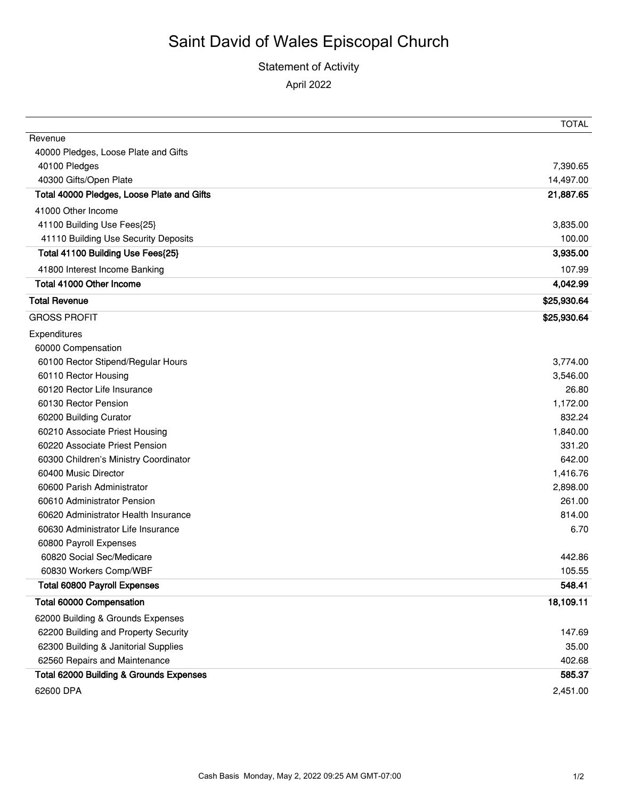## Statement of Activity April 2022

|                                            | TOTAL       |
|--------------------------------------------|-------------|
| Revenue                                    |             |
| 40000 Pledges, Loose Plate and Gifts       |             |
| 40100 Pledges                              | 7,390.65    |
| 40300 Gifts/Open Plate                     | 14,497.00   |
| Total 40000 Pledges, Loose Plate and Gifts | 21,887.65   |
| 41000 Other Income                         |             |
| 41100 Building Use Fees{25}                | 3,835.00    |
| 41110 Building Use Security Deposits       | 100.00      |
| Total 41100 Building Use Fees{25}          | 3,935.00    |
| 41800 Interest Income Banking              | 107.99      |
| Total 41000 Other Income                   | 4,042.99    |
| <b>Total Revenue</b>                       | \$25,930.64 |
| <b>GROSS PROFIT</b>                        | \$25,930.64 |
| Expenditures                               |             |
| 60000 Compensation                         |             |
| 60100 Rector Stipend/Regular Hours         | 3,774.00    |
| 60110 Rector Housing                       | 3,546.00    |
| 60120 Rector Life Insurance                | 26.80       |
| 60130 Rector Pension                       | 1,172.00    |
| 60200 Building Curator                     | 832.24      |
| 60210 Associate Priest Housing             | 1,840.00    |
| 60220 Associate Priest Pension             | 331.20      |
| 60300 Children's Ministry Coordinator      | 642.00      |
| 60400 Music Director                       | 1,416.76    |
| 60600 Parish Administrator                 | 2,898.00    |
| 60610 Administrator Pension                | 261.00      |
| 60620 Administrator Health Insurance       | 814.00      |
| 60630 Administrator Life Insurance         | 6.70        |
| 60800 Payroll Expenses                     |             |
| 60820 Social Sec/Medicare                  | 442.86      |
| 60830 Workers Comp/WBF                     | 105.55      |
| <b>Total 60800 Payroll Expenses</b>        | 548.41      |
| Total 60000 Compensation                   | 18,109.11   |
| 62000 Building & Grounds Expenses          |             |
| 62200 Building and Property Security       | 147.69      |
| 62300 Building & Janitorial Supplies       | 35.00       |
| 62560 Repairs and Maintenance              | 402.68      |
| Total 62000 Building & Grounds Expenses    | 585.37      |
| 62600 DPA                                  | 2,451.00    |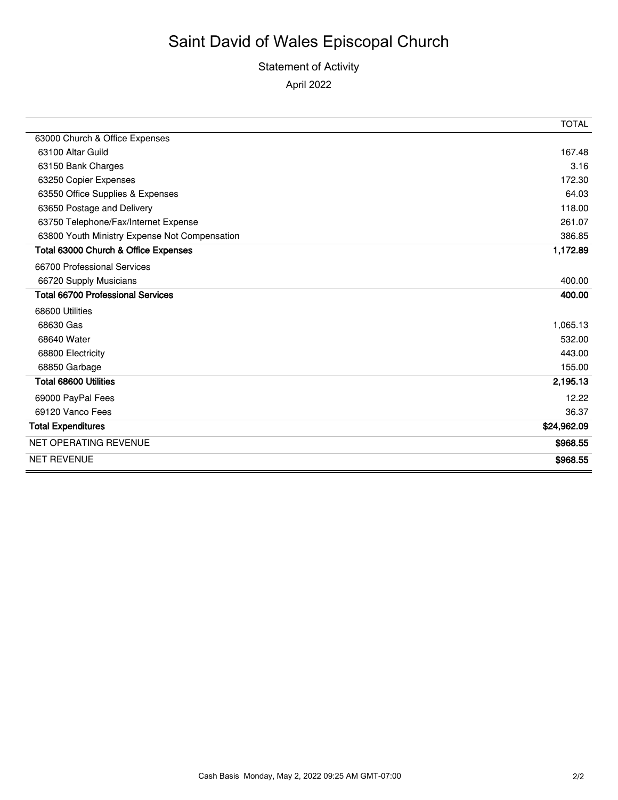## Statement of Activity April 2022

|                                               | <b>TOTAL</b> |
|-----------------------------------------------|--------------|
| 63000 Church & Office Expenses                |              |
| 63100 Altar Guild                             | 167.48       |
| 63150 Bank Charges                            | 3.16         |
| 63250 Copier Expenses                         | 172.30       |
| 63550 Office Supplies & Expenses              | 64.03        |
| 63650 Postage and Delivery                    | 118.00       |
| 63750 Telephone/Fax/Internet Expense          | 261.07       |
| 63800 Youth Ministry Expense Not Compensation | 386.85       |
| Total 63000 Church & Office Expenses          | 1,172.89     |
| 66700 Professional Services                   |              |
| 66720 Supply Musicians                        | 400.00       |
| <b>Total 66700 Professional Services</b>      | 400.00       |
| 68600 Utilities                               |              |
| 68630 Gas                                     | 1,065.13     |
| 68640 Water                                   | 532.00       |
| 68800 Electricity                             | 443.00       |
| 68850 Garbage                                 | 155.00       |
| <b>Total 68600 Utilities</b>                  | 2,195.13     |
| 69000 PayPal Fees                             | 12.22        |
| 69120 Vanco Fees                              | 36.37        |
| <b>Total Expenditures</b>                     | \$24,962.09  |
| <b>NET OPERATING REVENUE</b>                  | \$968.55     |
| <b>NET REVENUE</b>                            | \$968.55     |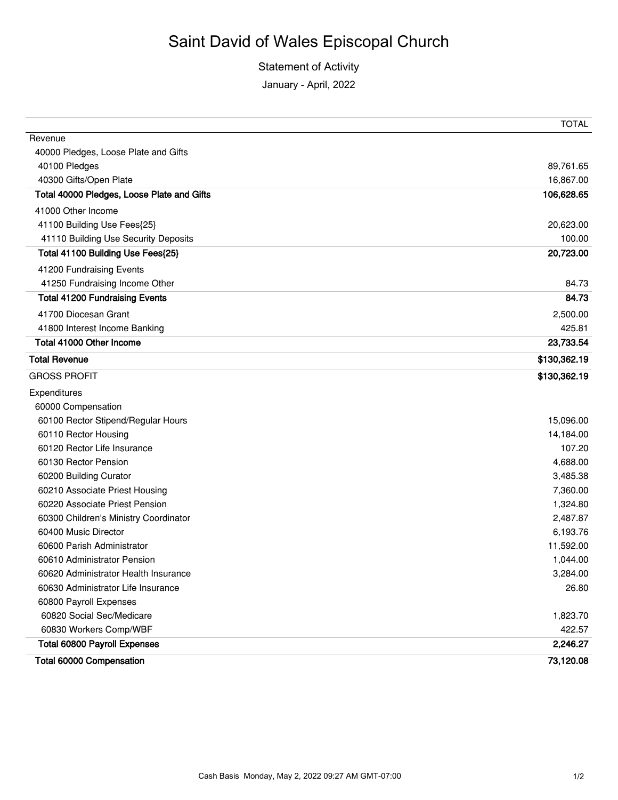Statement of Activity

January - April, 2022

|                                            | <b>TOTAL</b> |
|--------------------------------------------|--------------|
| Revenue                                    |              |
| 40000 Pledges, Loose Plate and Gifts       |              |
| 40100 Pledges                              | 89,761.65    |
| 40300 Gifts/Open Plate                     | 16,867.00    |
| Total 40000 Pledges, Loose Plate and Gifts | 106,628.65   |
| 41000 Other Income                         |              |
| 41100 Building Use Fees{25}                | 20,623.00    |
| 41110 Building Use Security Deposits       | 100.00       |
| Total 41100 Building Use Fees{25}          | 20,723.00    |
| 41200 Fundraising Events                   |              |
| 41250 Fundraising Income Other             | 84.73        |
| <b>Total 41200 Fundraising Events</b>      | 84.73        |
| 41700 Diocesan Grant                       | 2,500.00     |
| 41800 Interest Income Banking              | 425.81       |
| Total 41000 Other Income                   | 23,733.54    |
| <b>Total Revenue</b>                       | \$130,362.19 |
| <b>GROSS PROFIT</b>                        | \$130,362.19 |
| Expenditures                               |              |
| 60000 Compensation                         |              |
| 60100 Rector Stipend/Regular Hours         | 15,096.00    |
| 60110 Rector Housing                       | 14,184.00    |
| 60120 Rector Life Insurance                | 107.20       |
| 60130 Rector Pension                       | 4,688.00     |
| 60200 Building Curator                     | 3,485.38     |
| 60210 Associate Priest Housing             | 7,360.00     |
| 60220 Associate Priest Pension             | 1,324.80     |
| 60300 Children's Ministry Coordinator      | 2,487.87     |
| 60400 Music Director                       | 6,193.76     |
| 60600 Parish Administrator                 | 11,592.00    |
| 60610 Administrator Pension                | 1,044.00     |
| 60620 Administrator Health Insurance       | 3,284.00     |
| 60630 Administrator Life Insurance         | 26.80        |
| 60800 Payroll Expenses                     |              |
| 60820 Social Sec/Medicare                  | 1,823.70     |
| 60830 Workers Comp/WBF                     | 422.57       |
| <b>Total 60800 Payroll Expenses</b>        | 2,246.27     |
| Total 60000 Compensation                   | 73,120.08    |